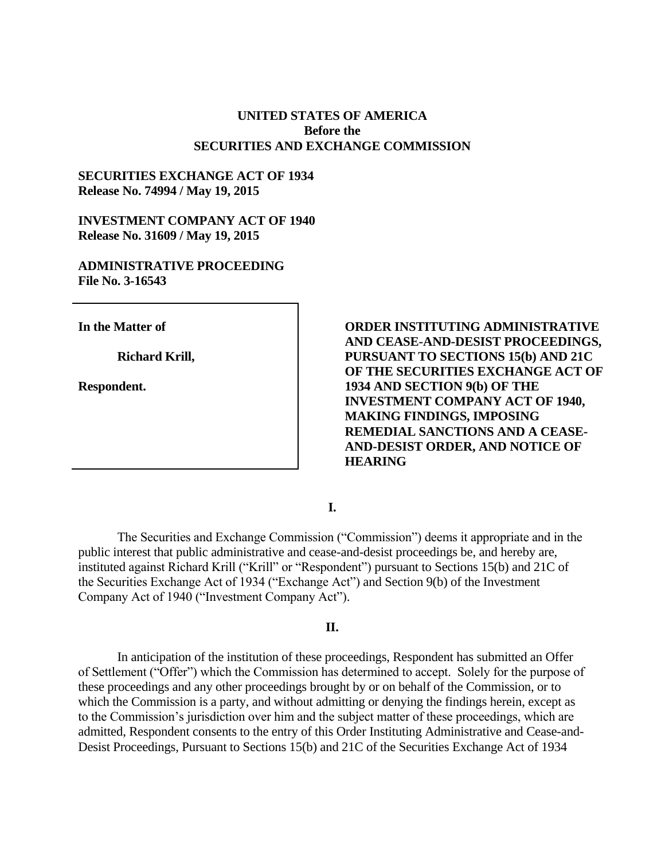### **UNITED STATES OF AMERICA Before the SECURITIES AND EXCHANGE COMMISSION**

# **SECURITIES EXCHANGE ACT OF 1934 Release No. 74994 / May 19, 2015**

### **INVESTMENT COMPANY ACT OF 1940 Release No. 31609 / May 19, 2015**

### **ADMINISTRATIVE PROCEEDING File No. 3-16543**

**In the Matter of**

**Richard Krill,**

**Respondent.**

**ORDER INSTITUTING ADMINISTRATIVE AND CEASE-AND-DESIST PROCEEDINGS, PURSUANT TO SECTIONS 15(b) AND 21C OF THE SECURITIES EXCHANGE ACT OF 1934 AND SECTION 9(b) OF THE INVESTMENT COMPANY ACT OF 1940, MAKING FINDINGS, IMPOSING REMEDIAL SANCTIONS AND A CEASE-AND-DESIST ORDER, AND NOTICE OF HEARING**

**I.**

The Securities and Exchange Commission ("Commission") deems it appropriate and in the public interest that public administrative and cease-and-desist proceedings be, and hereby are, instituted against Richard Krill ("Krill" or "Respondent") pursuant to Sections 15(b) and 21C of the Securities Exchange Act of 1934 ("Exchange Act") and Section 9(b) of the Investment Company Act of 1940 ("Investment Company Act").

# **II.**

In anticipation of the institution of these proceedings, Respondent has submitted an Offer of Settlement ("Offer") which the Commission has determined to accept. Solely for the purpose of these proceedings and any other proceedings brought by or on behalf of the Commission, or to which the Commission is a party, and without admitting or denying the findings herein, except as to the Commission's jurisdiction over him and the subject matter of these proceedings, which are admitted, Respondent consents to the entry of this Order Instituting Administrative and Cease-and-Desist Proceedings, Pursuant to Sections 15(b) and 21C of the Securities Exchange Act of 1934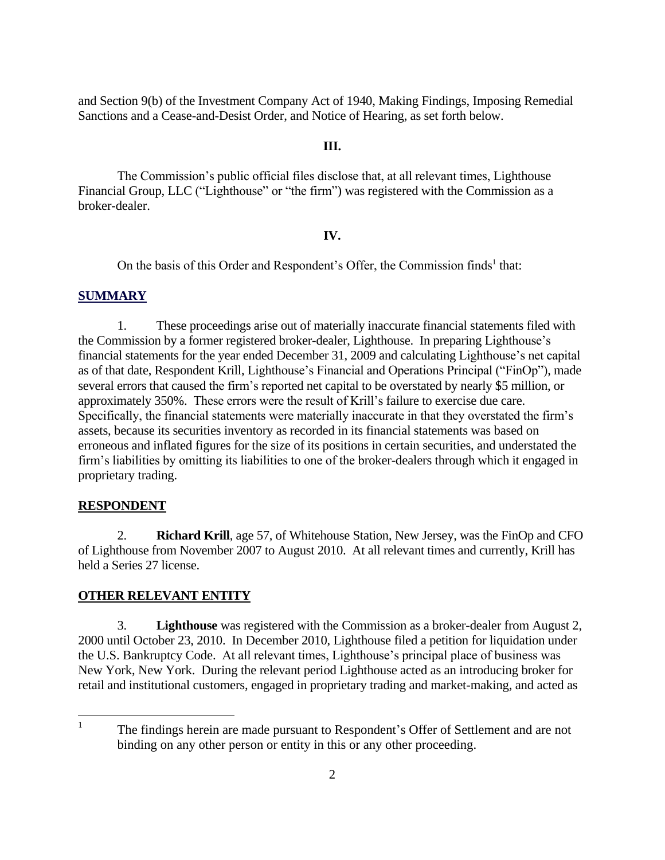and Section 9(b) of the Investment Company Act of 1940, Making Findings, Imposing Remedial Sanctions and a Cease-and-Desist Order, and Notice of Hearing, as set forth below.

### **III.**

The Commission's public official files disclose that, at all relevant times, Lighthouse Financial Group, LLC ("Lighthouse" or "the firm") was registered with the Commission as a broker-dealer.

#### **IV.**

On the basis of this Order and Respondent's Offer, the Commission finds<sup>1</sup> that:

#### **SUMMARY**

1. These proceedings arise out of materially inaccurate financial statements filed with the Commission by a former registered broker-dealer, Lighthouse. In preparing Lighthouse's financial statements for the year ended December 31, 2009 and calculating Lighthouse's net capital as of that date, Respondent Krill, Lighthouse's Financial and Operations Principal ("FinOp"), made several errors that caused the firm's reported net capital to be overstated by nearly \$5 million, or approximately 350%. These errors were the result of Krill's failure to exercise due care. Specifically, the financial statements were materially inaccurate in that they overstated the firm's assets, because its securities inventory as recorded in its financial statements was based on erroneous and inflated figures for the size of its positions in certain securities, and understated the firm's liabilities by omitting its liabilities to one of the broker-dealers through which it engaged in proprietary trading.

#### **RESPONDENT**

2. **Richard Krill**, age 57, of Whitehouse Station, New Jersey, was the FinOp and CFO of Lighthouse from November 2007 to August 2010. At all relevant times and currently, Krill has held a Series 27 license.

### **OTHER RELEVANT ENTITY**

3. **Lighthouse** was registered with the Commission as a broker-dealer from August 2, 2000 until October 23, 2010. In December 2010, Lighthouse filed a petition for liquidation under the U.S. Bankruptcy Code. At all relevant times, Lighthouse's principal place of business was New York, New York. During the relevant period Lighthouse acted as an introducing broker for retail and institutional customers, engaged in proprietary trading and market-making, and acted as

 $\frac{1}{1}$ The findings herein are made pursuant to Respondent's Offer of Settlement and are not binding on any other person or entity in this or any other proceeding.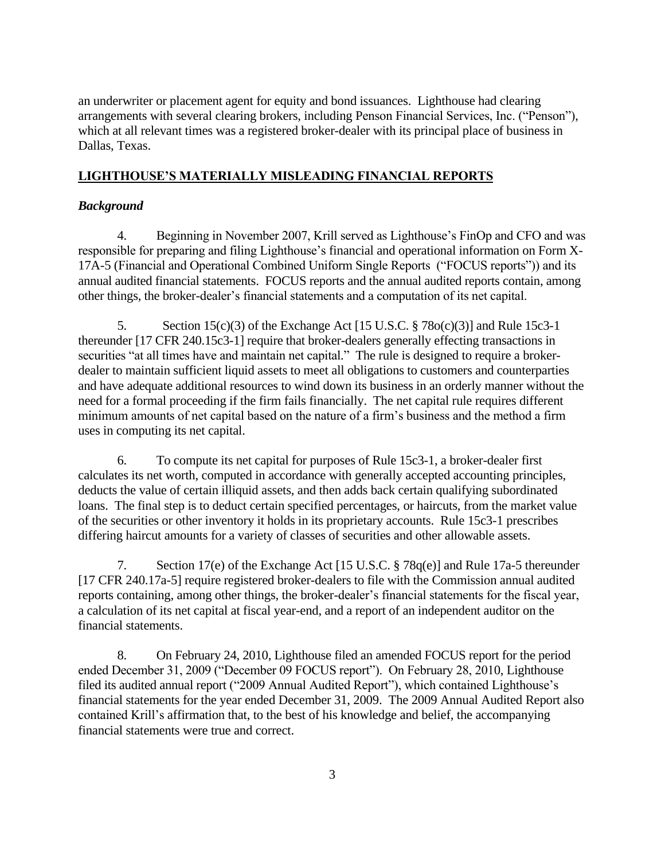an underwriter or placement agent for equity and bond issuances. Lighthouse had clearing arrangements with several clearing brokers, including Penson Financial Services, Inc. ("Penson"), which at all relevant times was a registered broker-dealer with its principal place of business in Dallas, Texas.

# **LIGHTHOUSE'S MATERIALLY MISLEADING FINANCIAL REPORTS**

# *Background*

4. Beginning in November 2007, Krill served as Lighthouse's FinOp and CFO and was responsible for preparing and filing Lighthouse's financial and operational information on Form X-17A-5 (Financial and Operational Combined Uniform Single Reports ("FOCUS reports")) and its annual audited financial statements. FOCUS reports and the annual audited reports contain, among other things, the broker-dealer's financial statements and a computation of its net capital.

5. Section 15(c)(3) of the Exchange Act [15 U.S.C. § 78o(c)(3)] and Rule 15c3-1 thereunder [17 CFR 240.15c3-1] require that broker-dealers generally effecting transactions in securities "at all times have and maintain net capital." The rule is designed to require a brokerdealer to maintain sufficient liquid assets to meet all obligations to customers and counterparties and have adequate additional resources to wind down its business in an orderly manner without the need for a formal proceeding if the firm fails financially. The net capital rule requires different minimum amounts of net capital based on the nature of a firm's business and the method a firm uses in computing its net capital.

6. To compute its net capital for purposes of Rule 15c3-1, a broker-dealer first calculates its net worth, computed in accordance with generally accepted accounting principles, deducts the value of certain illiquid assets, and then adds back certain qualifying subordinated loans. The final step is to deduct certain specified percentages, or haircuts, from the market value of the securities or other inventory it holds in its proprietary accounts. Rule 15c3-1 prescribes differing haircut amounts for a variety of classes of securities and other allowable assets.

7. Section 17(e) of the Exchange Act [15 U.S.C. § 78q(e)] and Rule 17a-5 thereunder [17 CFR 240.17a-5] require registered broker-dealers to file with the Commission annual audited reports containing, among other things, the broker-dealer's financial statements for the fiscal year, a calculation of its net capital at fiscal year-end, and a report of an independent auditor on the financial statements.

8. On February 24, 2010, Lighthouse filed an amended FOCUS report for the period ended December 31, 2009 ("December 09 FOCUS report"). On February 28, 2010, Lighthouse filed its audited annual report ("2009 Annual Audited Report"), which contained Lighthouse's financial statements for the year ended December 31, 2009. The 2009 Annual Audited Report also contained Krill's affirmation that, to the best of his knowledge and belief, the accompanying financial statements were true and correct.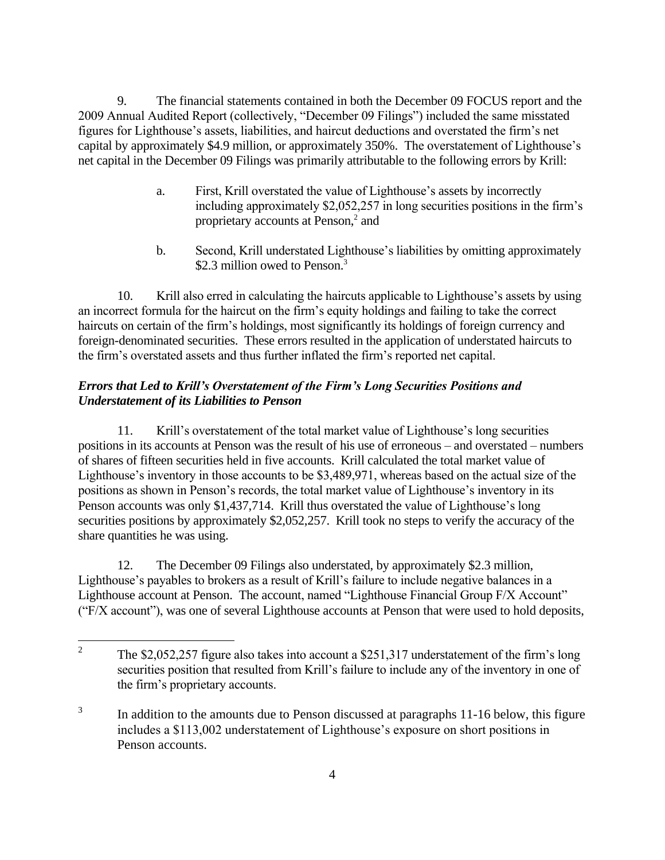9. The financial statements contained in both the December 09 FOCUS report and the 2009 Annual Audited Report (collectively, "December 09 Filings") included the same misstated figures for Lighthouse's assets, liabilities, and haircut deductions and overstated the firm's net capital by approximately \$4.9 million, or approximately 350%. The overstatement of Lighthouse's net capital in the December 09 Filings was primarily attributable to the following errors by Krill:

- a. First, Krill overstated the value of Lighthouse's assets by incorrectly including approximately \$2,052,257 in long securities positions in the firm's proprietary accounts at Penson,<sup>2</sup> and
- b. Second, Krill understated Lighthouse's liabilities by omitting approximately \$2.3 million owed to Penson.<sup>3</sup>

10. Krill also erred in calculating the haircuts applicable to Lighthouse's assets by using an incorrect formula for the haircut on the firm's equity holdings and failing to take the correct haircuts on certain of the firm's holdings, most significantly its holdings of foreign currency and foreign-denominated securities. These errors resulted in the application of understated haircuts to the firm's overstated assets and thus further inflated the firm's reported net capital.

# *Errors that Led to Krill's Overstatement of the Firm's Long Securities Positions and Understatement of its Liabilities to Penson*

11. Krill's overstatement of the total market value of Lighthouse's long securities positions in its accounts at Penson was the result of his use of erroneous – and overstated – numbers of shares of fifteen securities held in five accounts. Krill calculated the total market value of Lighthouse's inventory in those accounts to be \$3,489,971, whereas based on the actual size of the positions as shown in Penson's records, the total market value of Lighthouse's inventory in its Penson accounts was only \$1,437,714. Krill thus overstated the value of Lighthouse's long securities positions by approximately \$2,052,257. Krill took no steps to verify the accuracy of the share quantities he was using.

12. The December 09 Filings also understated, by approximately \$2.3 million, Lighthouse's payables to brokers as a result of Krill's failure to include negative balances in a Lighthouse account at Penson. The account, named "Lighthouse Financial Group F/X Account" ("F/X account"), was one of several Lighthouse accounts at Penson that were used to hold deposits,

 $\frac{1}{2}$ The \$2,052,257 figure also takes into account a \$251,317 understatement of the firm's long securities position that resulted from Krill's failure to include any of the inventory in one of the firm's proprietary accounts.

<sup>3</sup> In addition to the amounts due to Penson discussed at paragraphs 11-16 below, this figure includes a \$113,002 understatement of Lighthouse's exposure on short positions in Penson accounts.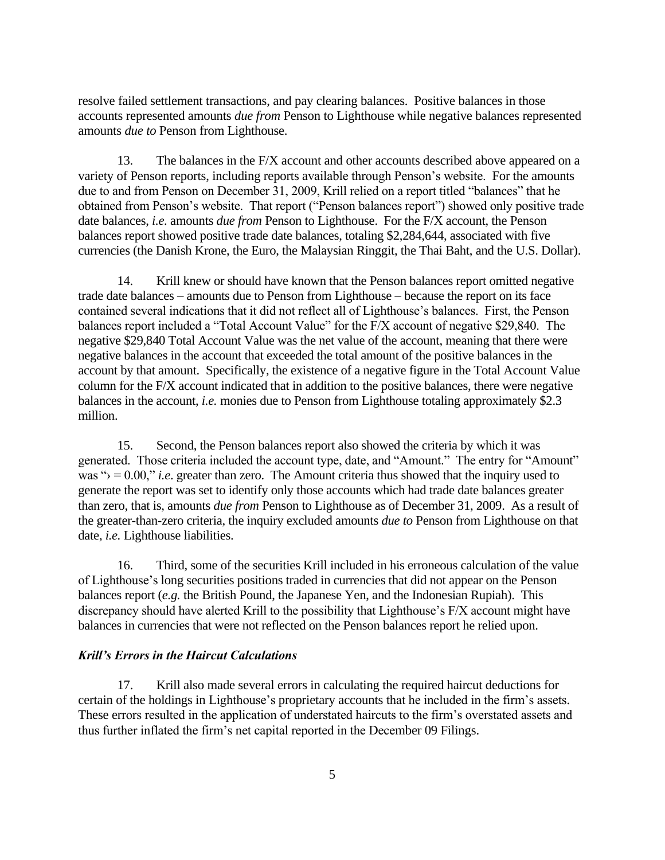resolve failed settlement transactions, and pay clearing balances. Positive balances in those accounts represented amounts *due from* Penson to Lighthouse while negative balances represented amounts *due to* Penson from Lighthouse.

13. The balances in the F/X account and other accounts described above appeared on a variety of Penson reports, including reports available through Penson's website. For the amounts due to and from Penson on December 31, 2009, Krill relied on a report titled "balances" that he obtained from Penson's website. That report ("Penson balances report") showed only positive trade date balances, *i.e.* amounts *due from* Penson to Lighthouse. For the F/X account, the Penson balances report showed positive trade date balances, totaling \$2,284,644, associated with five currencies (the Danish Krone, the Euro, the Malaysian Ringgit, the Thai Baht, and the U.S. Dollar).

14. Krill knew or should have known that the Penson balances report omitted negative trade date balances – amounts due to Penson from Lighthouse – because the report on its face contained several indications that it did not reflect all of Lighthouse's balances. First, the Penson balances report included a "Total Account Value" for the F/X account of negative \$29,840. The negative \$29,840 Total Account Value was the net value of the account, meaning that there were negative balances in the account that exceeded the total amount of the positive balances in the account by that amount. Specifically, the existence of a negative figure in the Total Account Value column for the F/X account indicated that in addition to the positive balances, there were negative balances in the account, *i.e.* monies due to Penson from Lighthouse totaling approximately \$2.3 million.

15. Second, the Penson balances report also showed the criteria by which it was generated. Those criteria included the account type, date, and "Amount." The entry for "Amount" was " $\rangle = 0.00$ ," *i.e.* greater than zero. The Amount criteria thus showed that the inquiry used to generate the report was set to identify only those accounts which had trade date balances greater than zero, that is, amounts *due from* Penson to Lighthouse as of December 31, 2009. As a result of the greater-than-zero criteria, the inquiry excluded amounts *due to* Penson from Lighthouse on that date, *i.e.* Lighthouse liabilities.

16. Third, some of the securities Krill included in his erroneous calculation of the value of Lighthouse's long securities positions traded in currencies that did not appear on the Penson balances report (*e.g.* the British Pound, the Japanese Yen, and the Indonesian Rupiah). This discrepancy should have alerted Krill to the possibility that Lighthouse's F/X account might have balances in currencies that were not reflected on the Penson balances report he relied upon.

#### *Krill's Errors in the Haircut Calculations*

17. Krill also made several errors in calculating the required haircut deductions for certain of the holdings in Lighthouse's proprietary accounts that he included in the firm's assets. These errors resulted in the application of understated haircuts to the firm's overstated assets and thus further inflated the firm's net capital reported in the December 09 Filings.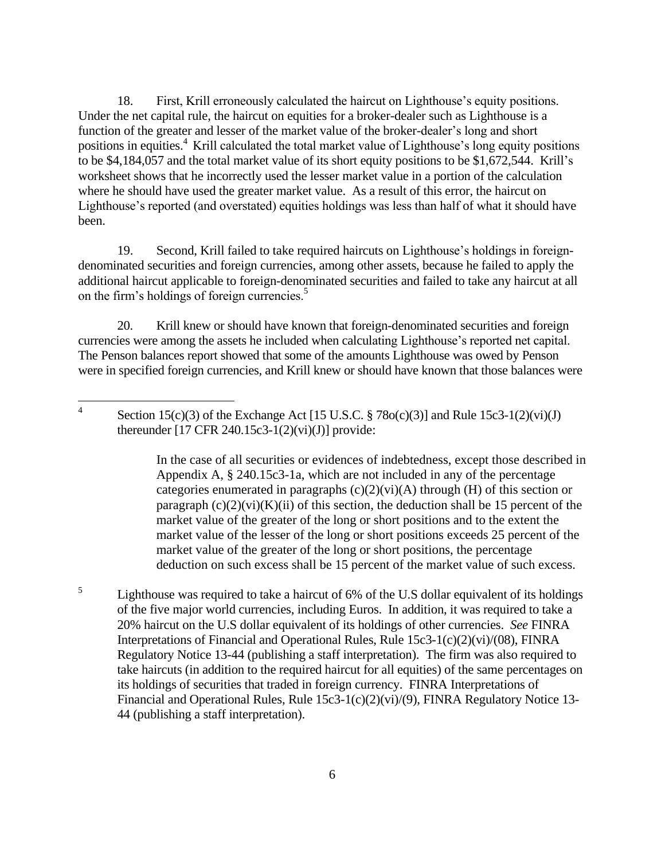18. First, Krill erroneously calculated the haircut on Lighthouse's equity positions. Under the net capital rule, the haircut on equities for a broker-dealer such as Lighthouse is a function of the greater and lesser of the market value of the broker-dealer's long and short positions in equities.<sup>4</sup> Krill calculated the total market value of Lighthouse's long equity positions to be \$4,184,057 and the total market value of its short equity positions to be \$1,672,544. Krill's worksheet shows that he incorrectly used the lesser market value in a portion of the calculation where he should have used the greater market value. As a result of this error, the haircut on Lighthouse's reported (and overstated) equities holdings was less than half of what it should have been.

19. Second, Krill failed to take required haircuts on Lighthouse's holdings in foreigndenominated securities and foreign currencies, among other assets, because he failed to apply the additional haircut applicable to foreign-denominated securities and failed to take any haircut at all on the firm's holdings of foreign currencies.<sup>5</sup>

20. Krill knew or should have known that foreign-denominated securities and foreign currencies were among the assets he included when calculating Lighthouse's reported net capital. The Penson balances report showed that some of the amounts Lighthouse was owed by Penson were in specified foreign currencies, and Krill knew or should have known that those balances were

In the case of all securities or evidences of indebtedness, except those described in Appendix A, § 240.15c3-1a, which are not included in any of the percentage categories enumerated in paragraphs  $(c)(2)(vi)(A)$  through  $(H)$  of this section or paragraph  $(c)(2)(vi)(K)(ii)$  of this section, the deduction shall be 15 percent of the market value of the greater of the long or short positions and to the extent the market value of the lesser of the long or short positions exceeds 25 percent of the market value of the greater of the long or short positions, the percentage deduction on such excess shall be 15 percent of the market value of such excess.

5 Lighthouse was required to take a haircut of 6% of the U.S dollar equivalent of its holdings of the five major world currencies, including Euros. In addition, it was required to take a 20% haircut on the U.S dollar equivalent of its holdings of other currencies. *See* FINRA Interpretations of Financial and Operational Rules, Rule 15c3-1(c)(2)(vi)/(08), FINRA Regulatory Notice 13-44 (publishing a staff interpretation). The firm was also required to take haircuts (in addition to the required haircut for all equities) of the same percentages on its holdings of securities that traded in foreign currency. FINRA Interpretations of Financial and Operational Rules, Rule 15c3-1(c)(2)(vi)/(9), FINRA Regulatory Notice 13- 44 (publishing a staff interpretation).

 $\frac{1}{4}$ Section  $15(c)(3)$  of the Exchange Act [15 U.S.C.  $\S 78o(c)(3)$ ] and Rule  $15c3-1(2)(vi)(J)$ thereunder  $[17 \text{ CFR } 240.15c3 - 1(2)(vi)(J)]$  provide: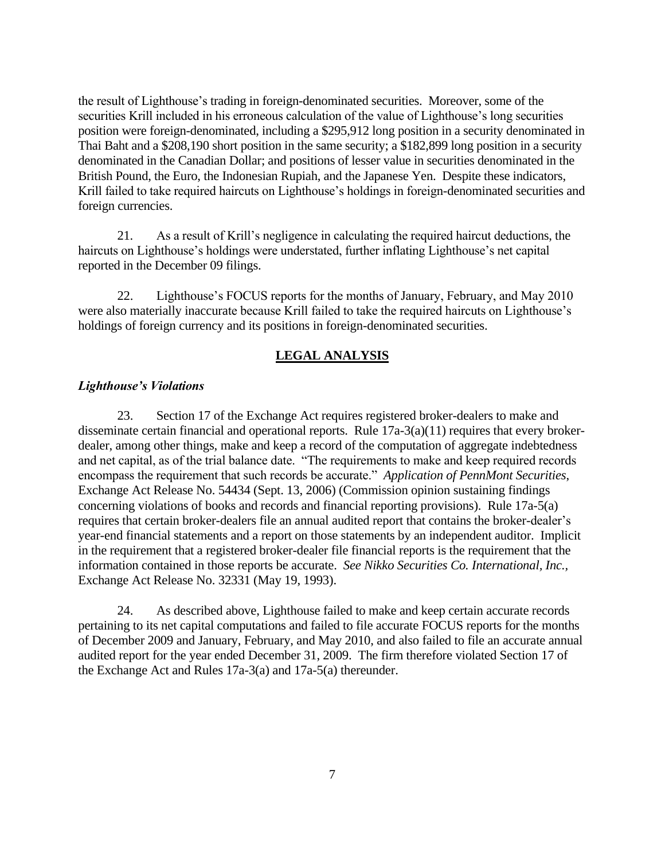the result of Lighthouse's trading in foreign-denominated securities. Moreover, some of the securities Krill included in his erroneous calculation of the value of Lighthouse's long securities position were foreign-denominated, including a \$295,912 long position in a security denominated in Thai Baht and a \$208,190 short position in the same security; a \$182,899 long position in a security denominated in the Canadian Dollar; and positions of lesser value in securities denominated in the British Pound, the Euro, the Indonesian Rupiah, and the Japanese Yen. Despite these indicators, Krill failed to take required haircuts on Lighthouse's holdings in foreign-denominated securities and foreign currencies.

21. As a result of Krill's negligence in calculating the required haircut deductions, the haircuts on Lighthouse's holdings were understated, further inflating Lighthouse's net capital reported in the December 09 filings.

22. Lighthouse's FOCUS reports for the months of January, February, and May 2010 were also materially inaccurate because Krill failed to take the required haircuts on Lighthouse's holdings of foreign currency and its positions in foreign-denominated securities.

### **LEGAL ANALYSIS**

#### *Lighthouse's Violations*

23. Section 17 of the Exchange Act requires registered broker-dealers to make and disseminate certain financial and operational reports. Rule 17a-3(a)(11) requires that every brokerdealer, among other things, make and keep a record of the computation of aggregate indebtedness and net capital, as of the trial balance date. "The requirements to make and keep required records encompass the requirement that such records be accurate." *Application of PennMont Securities*, Exchange Act Release No. 54434 (Sept. 13, 2006) (Commission opinion sustaining findings concerning violations of books and records and financial reporting provisions). Rule 17a-5(a) requires that certain broker-dealers file an annual audited report that contains the broker-dealer's year-end financial statements and a report on those statements by an independent auditor. Implicit in the requirement that a registered broker-dealer file financial reports is the requirement that the information contained in those reports be accurate. *See Nikko Securities Co. International, Inc.,* Exchange Act Release No. 32331 (May 19, 1993).

24. As described above, Lighthouse failed to make and keep certain accurate records pertaining to its net capital computations and failed to file accurate FOCUS reports for the months of December 2009 and January, February, and May 2010, and also failed to file an accurate annual audited report for the year ended December 31, 2009. The firm therefore violated Section 17 of the Exchange Act and Rules 17a-3(a) and 17a-5(a) thereunder.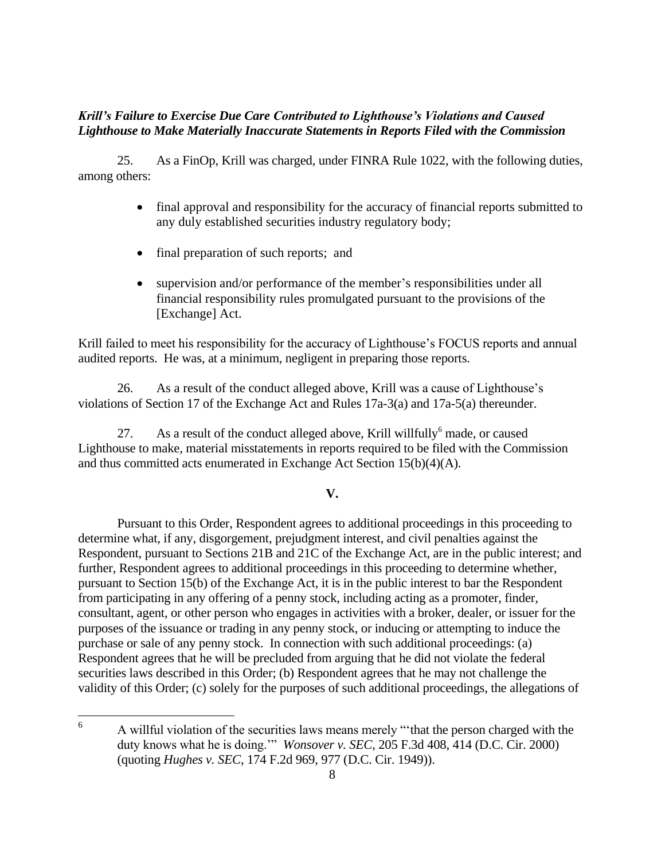# *Krill's Failure to Exercise Due Care Contributed to Lighthouse's Violations and Caused Lighthouse to Make Materially Inaccurate Statements in Reports Filed with the Commission*

25. As a FinOp, Krill was charged, under FINRA Rule 1022, with the following duties, among others:

- final approval and responsibility for the accuracy of financial reports submitted to any duly established securities industry regulatory body;
- final preparation of such reports; and
- supervision and/or performance of the member's responsibilities under all financial responsibility rules promulgated pursuant to the provisions of the [Exchange] Act.

Krill failed to meet his responsibility for the accuracy of Lighthouse's FOCUS reports and annual audited reports. He was, at a minimum, negligent in preparing those reports.

26. As a result of the conduct alleged above, Krill was a cause of Lighthouse's violations of Section 17 of the Exchange Act and Rules 17a-3(a) and 17a-5(a) thereunder.

27. As a result of the conduct alleged above, Krill willfully made, or caused Lighthouse to make, material misstatements in reports required to be filed with the Commission and thus committed acts enumerated in Exchange Act Section 15(b)(4)(A).

## **V.**

Pursuant to this Order, Respondent agrees to additional proceedings in this proceeding to determine what, if any, disgorgement, prejudgment interest, and civil penalties against the Respondent, pursuant to Sections 21B and 21C of the Exchange Act, are in the public interest; and further, Respondent agrees to additional proceedings in this proceeding to determine whether, pursuant to Section 15(b) of the Exchange Act, it is in the public interest to bar the Respondent from participating in any offering of a penny stock, including acting as a promoter, finder, consultant, agent, or other person who engages in activities with a broker, dealer, or issuer for the purposes of the issuance or trading in any penny stock, or inducing or attempting to induce the purchase or sale of any penny stock. In connection with such additional proceedings: (a) Respondent agrees that he will be precluded from arguing that he did not violate the federal securities laws described in this Order; (b) Respondent agrees that he may not challenge the validity of this Order; (c) solely for the purposes of such additional proceedings, the allegations of

<sup>6</sup> <sup>6</sup> A willful violation of the securities laws means merely "'that the person charged with the duty knows what he is doing.'" *Wonsover v. SEC*, 205 F.3d 408, 414 (D.C. Cir. 2000) (quoting *Hughes v. SEC*, 174 F.2d 969, 977 (D.C. Cir. 1949)).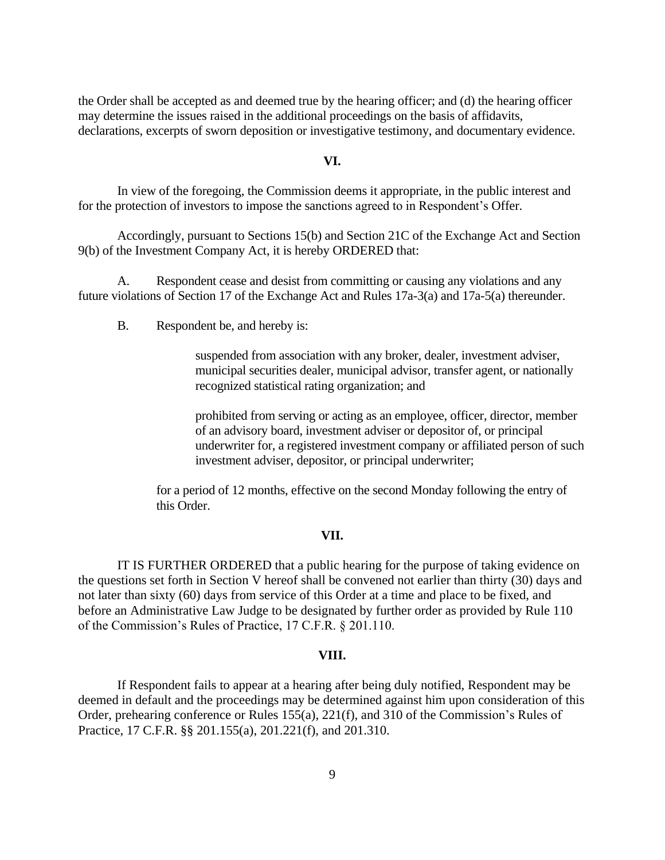the Order shall be accepted as and deemed true by the hearing officer; and (d) the hearing officer may determine the issues raised in the additional proceedings on the basis of affidavits, declarations, excerpts of sworn deposition or investigative testimony, and documentary evidence.

### **VI.**

In view of the foregoing, the Commission deems it appropriate, in the public interest and for the protection of investors to impose the sanctions agreed to in Respondent's Offer.

Accordingly, pursuant to Sections 15(b) and Section 21C of the Exchange Act and Section 9(b) of the Investment Company Act, it is hereby ORDERED that:

A. Respondent cease and desist from committing or causing any violations and any future violations of Section 17 of the Exchange Act and Rules 17a-3(a) and 17a-5(a) thereunder.

B. Respondent be, and hereby is:

suspended from association with any broker, dealer, investment adviser, municipal securities dealer, municipal advisor, transfer agent, or nationally recognized statistical rating organization; and

prohibited from serving or acting as an employee, officer, director, member of an advisory board, investment adviser or depositor of, or principal underwriter for, a registered investment company or affiliated person of such investment adviser, depositor, or principal underwriter;

for a period of 12 months, effective on the second Monday following the entry of this Order.

#### **VII.**

IT IS FURTHER ORDERED that a public hearing for the purpose of taking evidence on the questions set forth in Section V hereof shall be convened not earlier than thirty (30) days and not later than sixty (60) days from service of this Order at a time and place to be fixed, and before an Administrative Law Judge to be designated by further order as provided by Rule 110 of the Commission's Rules of Practice, 17 C.F.R. § 201.110.

#### **VIII.**

If Respondent fails to appear at a hearing after being duly notified, Respondent may be deemed in default and the proceedings may be determined against him upon consideration of this Order, prehearing conference or Rules 155(a), 221(f), and 310 of the Commission's Rules of Practice, 17 C.F.R. §§ 201.155(a), 201.221(f), and 201.310.